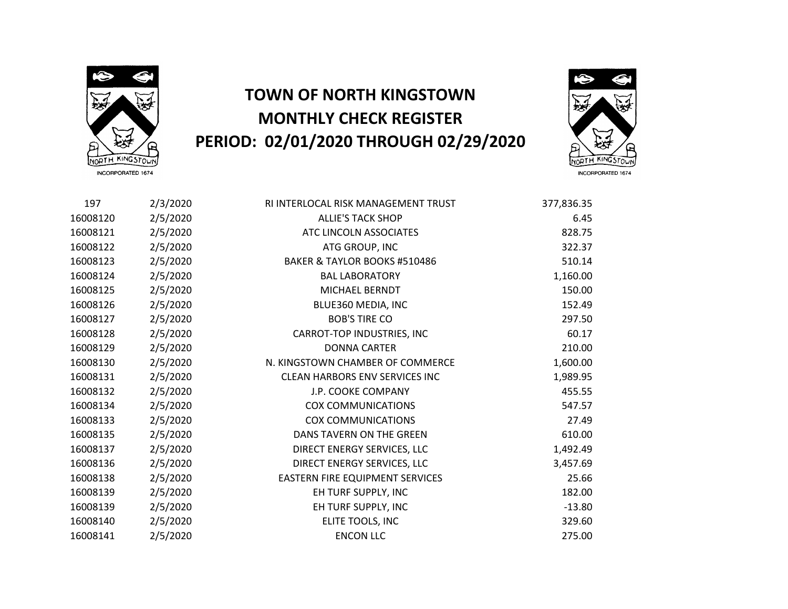

## **TOWN OF NORTH KINGSTOWN MONTHLY CHECK REGISTER PERIOD: 02/01/2020 THROUGH 02/29/2020**



 2/3/2020 RI INTERLOCAL RISK MANAGEMENT TRUST 377,836.35 2/5/2020 ALLIE'S TACK SHOP 6.45 2/5/2020 ATC LINCOLN ASSOCIATES 828.75 2/5/2020 ATG GROUP, INC 322.37 2/5/2020 BAKER & TAYLOR BOOKS #510486 510.14 2/5/2020 BAL LABORATORY 1,160.00 2/5/2020 MICHAEL BERNDT 150.00 2/5/2020 BLUE360 MEDIA, INC 152.49 2/5/2020 BOB'S TIRE CO 297.50 2/5/2020 CARROT-TOP INDUSTRIES, INC 60.17 2/5/2020 DONNA CARTER 210.00 2/5/2020 N. KINGSTOWN CHAMBER OF COMMERCE 1,600.00 2/5/2020 CLEAN HARBORS ENV SERVICES INC 1,989.95 2/5/2020 J.P. COOKE COMPANY 455.55 2/5/2020 COX COMMUNICATIONS 547.57 2/5/2020 COX COMMUNICATIONS 27.49 2/5/2020 DANS TAVERN ON THE GREEN 610.00 2/5/2020 DIRECT ENERGY SERVICES, LLC 1,492.49 2/5/2020 DIRECT ENERGY SERVICES, LLC 3,457.69 2/5/2020 EASTERN FIRE EQUIPMENT SERVICES 25.66 2/5/2020 EH TURF SUPPLY, INC 182.00 16008139 2/5/2020 EH TURF SUPPLY, INC -13.80 2/5/2020 ELITE TOOLS, INC 329.60 2/5/2020 ENCON LLC 275.00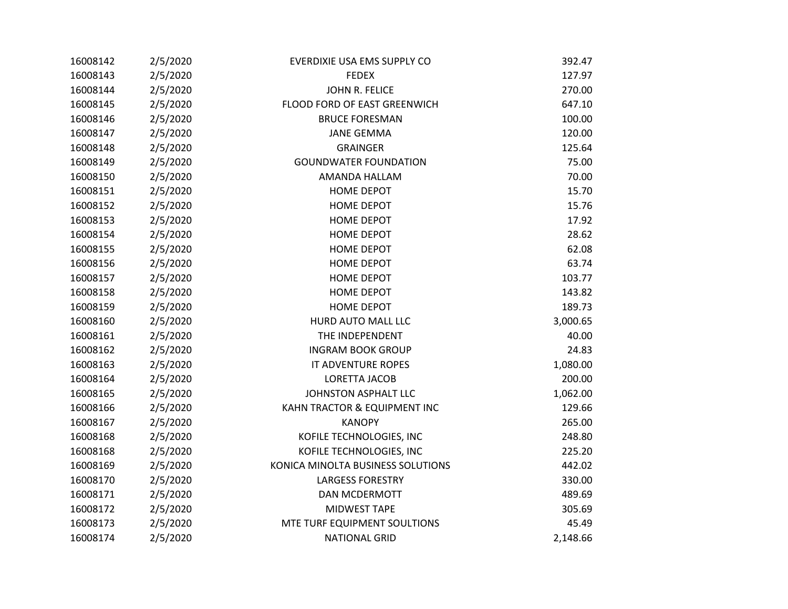| 16008142 | 2/5/2020 | EVERDIXIE USA EMS SUPPLY CO       | 392.47   |
|----------|----------|-----------------------------------|----------|
| 16008143 | 2/5/2020 | <b>FEDEX</b>                      | 127.97   |
| 16008144 | 2/5/2020 | JOHN R. FELICE                    | 270.00   |
| 16008145 | 2/5/2020 | FLOOD FORD OF EAST GREENWICH      | 647.10   |
| 16008146 | 2/5/2020 | <b>BRUCE FORESMAN</b>             | 100.00   |
| 16008147 | 2/5/2020 | <b>JANE GEMMA</b>                 | 120.00   |
| 16008148 | 2/5/2020 | <b>GRAINGER</b>                   | 125.64   |
| 16008149 | 2/5/2020 | <b>GOUNDWATER FOUNDATION</b>      | 75.00    |
| 16008150 | 2/5/2020 | AMANDA HALLAM                     | 70.00    |
| 16008151 | 2/5/2020 | <b>HOME DEPOT</b>                 | 15.70    |
| 16008152 | 2/5/2020 | <b>HOME DEPOT</b>                 | 15.76    |
| 16008153 | 2/5/2020 | <b>HOME DEPOT</b>                 | 17.92    |
| 16008154 | 2/5/2020 | <b>HOME DEPOT</b>                 | 28.62    |
| 16008155 | 2/5/2020 | <b>HOME DEPOT</b>                 | 62.08    |
| 16008156 | 2/5/2020 | <b>HOME DEPOT</b>                 | 63.74    |
| 16008157 | 2/5/2020 | HOME DEPOT                        | 103.77   |
| 16008158 | 2/5/2020 | <b>HOME DEPOT</b>                 | 143.82   |
| 16008159 | 2/5/2020 | <b>HOME DEPOT</b>                 | 189.73   |
| 16008160 | 2/5/2020 | HURD AUTO MALL LLC                | 3,000.65 |
| 16008161 | 2/5/2020 | THE INDEPENDENT                   | 40.00    |
| 16008162 | 2/5/2020 | <b>INGRAM BOOK GROUP</b>          | 24.83    |
| 16008163 | 2/5/2020 | <b>IT ADVENTURE ROPES</b>         | 1,080.00 |
| 16008164 | 2/5/2020 | LORETTA JACOB                     | 200.00   |
| 16008165 | 2/5/2020 | JOHNSTON ASPHALT LLC              | 1,062.00 |
| 16008166 | 2/5/2020 | KAHN TRACTOR & EQUIPMENT INC      | 129.66   |
| 16008167 | 2/5/2020 | <b>KANOPY</b>                     | 265.00   |
| 16008168 | 2/5/2020 | KOFILE TECHNOLOGIES, INC          | 248.80   |
| 16008168 | 2/5/2020 | KOFILE TECHNOLOGIES, INC          | 225.20   |
| 16008169 | 2/5/2020 | KONICA MINOLTA BUSINESS SOLUTIONS | 442.02   |
| 16008170 | 2/5/2020 | <b>LARGESS FORESTRY</b>           | 330.00   |
| 16008171 | 2/5/2020 | <b>DAN MCDERMOTT</b>              | 489.69   |
| 16008172 | 2/5/2020 | <b>MIDWEST TAPE</b>               | 305.69   |
| 16008173 | 2/5/2020 | MTE TURF EQUIPMENT SOULTIONS      | 45.49    |
| 16008174 | 2/5/2020 | <b>NATIONAL GRID</b>              | 2,148.66 |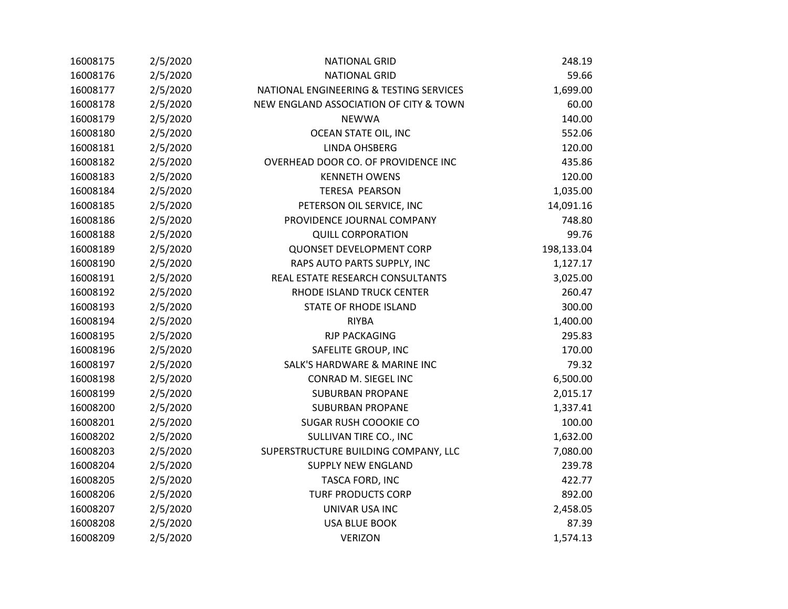| 16008175 | 2/5/2020 | <b>NATIONAL GRID</b>                    | 248.19     |
|----------|----------|-----------------------------------------|------------|
| 16008176 | 2/5/2020 | <b>NATIONAL GRID</b>                    | 59.66      |
| 16008177 | 2/5/2020 | NATIONAL ENGINEERING & TESTING SERVICES | 1,699.00   |
| 16008178 | 2/5/2020 | NEW ENGLAND ASSOCIATION OF CITY & TOWN  | 60.00      |
| 16008179 | 2/5/2020 | <b>NEWWA</b>                            | 140.00     |
| 16008180 | 2/5/2020 | OCEAN STATE OIL, INC                    | 552.06     |
| 16008181 | 2/5/2020 | LINDA OHSBERG                           | 120.00     |
| 16008182 | 2/5/2020 | OVERHEAD DOOR CO. OF PROVIDENCE INC     | 435.86     |
| 16008183 | 2/5/2020 | <b>KENNETH OWENS</b>                    | 120.00     |
| 16008184 | 2/5/2020 | <b>TERESA PEARSON</b>                   | 1,035.00   |
| 16008185 | 2/5/2020 | PETERSON OIL SERVICE, INC               | 14,091.16  |
| 16008186 | 2/5/2020 | PROVIDENCE JOURNAL COMPANY              | 748.80     |
| 16008188 | 2/5/2020 | <b>QUILL CORPORATION</b>                | 99.76      |
| 16008189 | 2/5/2020 | <b>QUONSET DEVELOPMENT CORP</b>         | 198,133.04 |
| 16008190 | 2/5/2020 | RAPS AUTO PARTS SUPPLY, INC             | 1,127.17   |
| 16008191 | 2/5/2020 | REAL ESTATE RESEARCH CONSULTANTS        | 3,025.00   |
| 16008192 | 2/5/2020 | RHODE ISLAND TRUCK CENTER               | 260.47     |
| 16008193 | 2/5/2020 | <b>STATE OF RHODE ISLAND</b>            | 300.00     |
| 16008194 | 2/5/2020 | <b>RIYBA</b>                            | 1,400.00   |
| 16008195 | 2/5/2020 | <b>RJP PACKAGING</b>                    | 295.83     |
| 16008196 | 2/5/2020 | SAFELITE GROUP, INC                     | 170.00     |
| 16008197 | 2/5/2020 | SALK'S HARDWARE & MARINE INC            | 79.32      |
| 16008198 | 2/5/2020 | CONRAD M. SIEGEL INC                    | 6,500.00   |
| 16008199 | 2/5/2020 | <b>SUBURBAN PROPANE</b>                 | 2,015.17   |
| 16008200 | 2/5/2020 | <b>SUBURBAN PROPANE</b>                 | 1,337.41   |
| 16008201 | 2/5/2020 | SUGAR RUSH COOOKIE CO                   | 100.00     |
| 16008202 | 2/5/2020 | SULLIVAN TIRE CO., INC                  | 1,632.00   |
| 16008203 | 2/5/2020 | SUPERSTRUCTURE BUILDING COMPANY, LLC    | 7,080.00   |
| 16008204 | 2/5/2020 | <b>SUPPLY NEW ENGLAND</b>               | 239.78     |
| 16008205 | 2/5/2020 | TASCA FORD, INC                         | 422.77     |
| 16008206 | 2/5/2020 | <b>TURF PRODUCTS CORP</b>               | 892.00     |
| 16008207 | 2/5/2020 | UNIVAR USA INC                          | 2,458.05   |
| 16008208 | 2/5/2020 | <b>USA BLUE BOOK</b>                    | 87.39      |
| 16008209 | 2/5/2020 | <b>VERIZON</b>                          | 1,574.13   |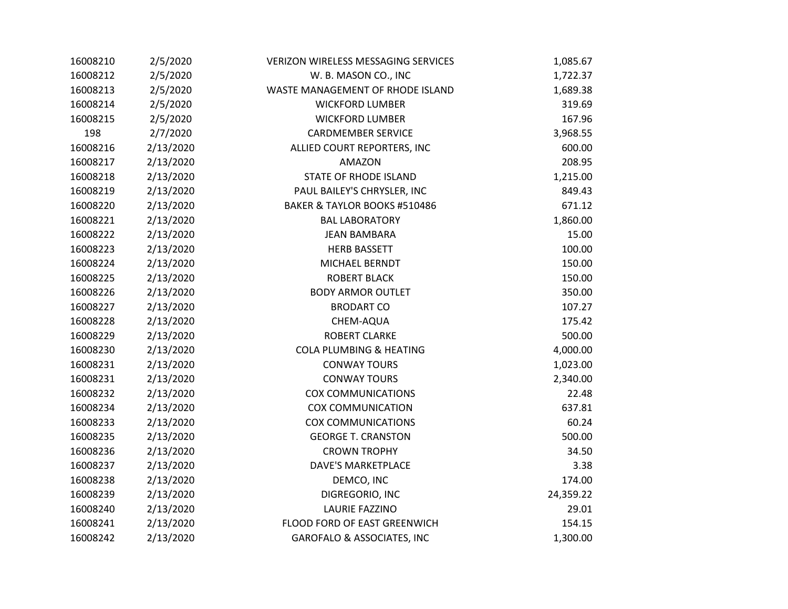| 16008210 | 2/5/2020  | <b>VERIZON WIRELESS MESSAGING SERVICES</b> | 1,085.67  |
|----------|-----------|--------------------------------------------|-----------|
| 16008212 | 2/5/2020  | W. B. MASON CO., INC                       | 1,722.37  |
| 16008213 | 2/5/2020  | WASTE MANAGEMENT OF RHODE ISLAND           | 1,689.38  |
| 16008214 | 2/5/2020  | <b>WICKFORD LUMBER</b>                     | 319.69    |
| 16008215 | 2/5/2020  | <b>WICKFORD LUMBER</b>                     | 167.96    |
| 198      | 2/7/2020  | <b>CARDMEMBER SERVICE</b>                  | 3,968.55  |
| 16008216 | 2/13/2020 | ALLIED COURT REPORTERS, INC                | 600.00    |
| 16008217 | 2/13/2020 | AMAZON                                     | 208.95    |
| 16008218 | 2/13/2020 | STATE OF RHODE ISLAND                      | 1,215.00  |
| 16008219 | 2/13/2020 | PAUL BAILEY'S CHRYSLER, INC                | 849.43    |
| 16008220 | 2/13/2020 | BAKER & TAYLOR BOOKS #510486               | 671.12    |
| 16008221 | 2/13/2020 | <b>BAL LABORATORY</b>                      | 1,860.00  |
| 16008222 | 2/13/2020 | <b>JEAN BAMBARA</b>                        | 15.00     |
| 16008223 | 2/13/2020 | <b>HERB BASSETT</b>                        | 100.00    |
| 16008224 | 2/13/2020 | MICHAEL BERNDT                             | 150.00    |
| 16008225 | 2/13/2020 | <b>ROBERT BLACK</b>                        | 150.00    |
| 16008226 | 2/13/2020 | <b>BODY ARMOR OUTLET</b>                   | 350.00    |
| 16008227 | 2/13/2020 | <b>BRODART CO</b>                          | 107.27    |
| 16008228 | 2/13/2020 | CHEM-AQUA                                  | 175.42    |
| 16008229 | 2/13/2020 | <b>ROBERT CLARKE</b>                       | 500.00    |
| 16008230 | 2/13/2020 | <b>COLA PLUMBING &amp; HEATING</b>         | 4,000.00  |
| 16008231 | 2/13/2020 | <b>CONWAY TOURS</b>                        | 1,023.00  |
| 16008231 | 2/13/2020 | <b>CONWAY TOURS</b>                        | 2,340.00  |
| 16008232 | 2/13/2020 | <b>COX COMMUNICATIONS</b>                  | 22.48     |
| 16008234 | 2/13/2020 | <b>COX COMMUNICATION</b>                   | 637.81    |
| 16008233 | 2/13/2020 | <b>COX COMMUNICATIONS</b>                  | 60.24     |
| 16008235 | 2/13/2020 | <b>GEORGE T. CRANSTON</b>                  | 500.00    |
| 16008236 | 2/13/2020 | <b>CROWN TROPHY</b>                        | 34.50     |
| 16008237 | 2/13/2020 | <b>DAVE'S MARKETPLACE</b>                  | 3.38      |
| 16008238 | 2/13/2020 | DEMCO, INC                                 | 174.00    |
| 16008239 | 2/13/2020 | DIGREGORIO, INC                            | 24,359.22 |
| 16008240 | 2/13/2020 | <b>LAURIE FAZZINO</b>                      | 29.01     |
| 16008241 | 2/13/2020 | FLOOD FORD OF EAST GREENWICH               | 154.15    |
| 16008242 | 2/13/2020 | <b>GAROFALO &amp; ASSOCIATES, INC</b>      | 1,300.00  |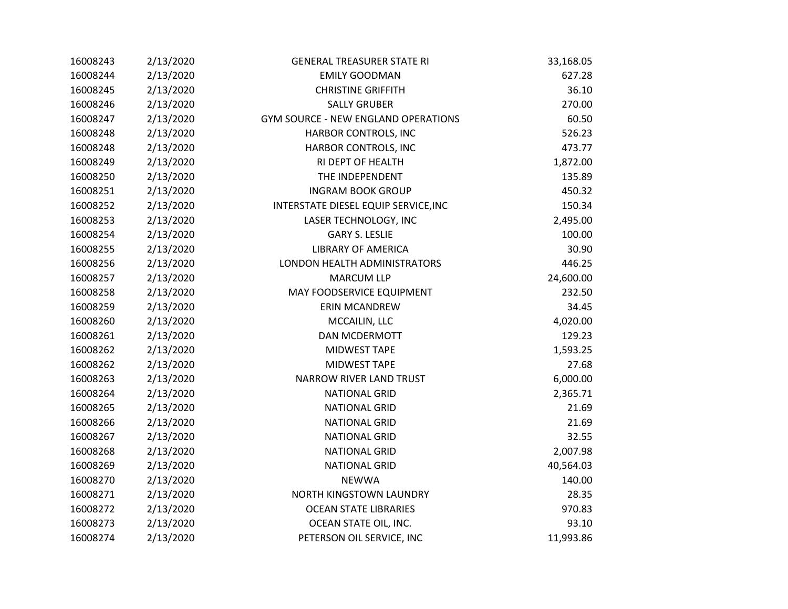| 16008243 | 2/13/2020 | <b>GENERAL TREASURER STATE RI</b>          | 33,168.05 |
|----------|-----------|--------------------------------------------|-----------|
| 16008244 | 2/13/2020 | <b>EMILY GOODMAN</b>                       | 627.28    |
| 16008245 | 2/13/2020 | <b>CHRISTINE GRIFFITH</b>                  | 36.10     |
| 16008246 | 2/13/2020 | <b>SALLY GRUBER</b>                        | 270.00    |
| 16008247 | 2/13/2020 | <b>GYM SOURCE - NEW ENGLAND OPERATIONS</b> | 60.50     |
| 16008248 | 2/13/2020 | HARBOR CONTROLS, INC                       | 526.23    |
| 16008248 | 2/13/2020 | HARBOR CONTROLS, INC                       | 473.77    |
| 16008249 | 2/13/2020 | RI DEPT OF HEALTH                          | 1,872.00  |
| 16008250 | 2/13/2020 | THE INDEPENDENT                            | 135.89    |
| 16008251 | 2/13/2020 | <b>INGRAM BOOK GROUP</b>                   | 450.32    |
| 16008252 | 2/13/2020 | INTERSTATE DIESEL EQUIP SERVICE, INC       | 150.34    |
| 16008253 | 2/13/2020 | LASER TECHNOLOGY, INC                      | 2,495.00  |
| 16008254 | 2/13/2020 | <b>GARY S. LESLIE</b>                      | 100.00    |
| 16008255 | 2/13/2020 | <b>LIBRARY OF AMERICA</b>                  | 30.90     |
| 16008256 | 2/13/2020 | LONDON HEALTH ADMINISTRATORS               | 446.25    |
| 16008257 | 2/13/2020 | <b>MARCUM LLP</b>                          | 24,600.00 |
| 16008258 | 2/13/2020 | MAY FOODSERVICE EQUIPMENT                  | 232.50    |
| 16008259 | 2/13/2020 | <b>ERIN MCANDREW</b>                       | 34.45     |
| 16008260 | 2/13/2020 | MCCAILIN, LLC                              | 4,020.00  |
| 16008261 | 2/13/2020 | DAN MCDERMOTT                              | 129.23    |
| 16008262 | 2/13/2020 | <b>MIDWEST TAPE</b>                        | 1,593.25  |
| 16008262 | 2/13/2020 | MIDWEST TAPE                               | 27.68     |
| 16008263 | 2/13/2020 | <b>NARROW RIVER LAND TRUST</b>             | 6,000.00  |
| 16008264 | 2/13/2020 | <b>NATIONAL GRID</b>                       | 2,365.71  |
| 16008265 | 2/13/2020 | <b>NATIONAL GRID</b>                       | 21.69     |
| 16008266 | 2/13/2020 | <b>NATIONAL GRID</b>                       | 21.69     |
| 16008267 | 2/13/2020 | <b>NATIONAL GRID</b>                       | 32.55     |
| 16008268 | 2/13/2020 | <b>NATIONAL GRID</b>                       | 2,007.98  |
| 16008269 | 2/13/2020 | <b>NATIONAL GRID</b>                       | 40,564.03 |
| 16008270 | 2/13/2020 | <b>NEWWA</b>                               | 140.00    |
| 16008271 | 2/13/2020 | NORTH KINGSTOWN LAUNDRY                    | 28.35     |
| 16008272 | 2/13/2020 | <b>OCEAN STATE LIBRARIES</b>               | 970.83    |
| 16008273 | 2/13/2020 | OCEAN STATE OIL, INC.                      | 93.10     |
| 16008274 | 2/13/2020 | PETERSON OIL SERVICE, INC                  | 11,993.86 |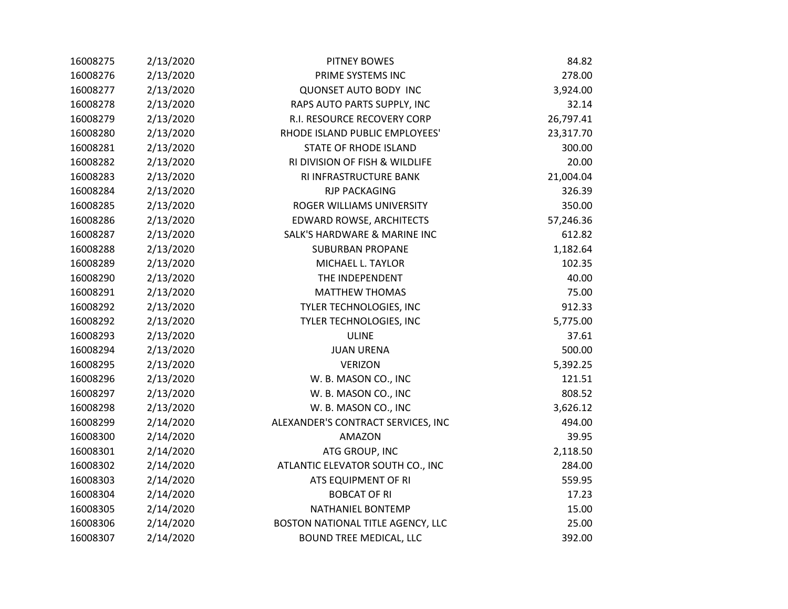| 16008275 | 2/13/2020 | <b>PITNEY BOWES</b>                | 84.82     |
|----------|-----------|------------------------------------|-----------|
| 16008276 | 2/13/2020 | PRIME SYSTEMS INC                  | 278.00    |
| 16008277 | 2/13/2020 | <b>QUONSET AUTO BODY INC</b>       | 3,924.00  |
| 16008278 | 2/13/2020 | RAPS AUTO PARTS SUPPLY, INC        | 32.14     |
| 16008279 | 2/13/2020 | R.I. RESOURCE RECOVERY CORP        | 26,797.41 |
| 16008280 | 2/13/2020 | RHODE ISLAND PUBLIC EMPLOYEES'     | 23,317.70 |
| 16008281 | 2/13/2020 | <b>STATE OF RHODE ISLAND</b>       | 300.00    |
| 16008282 | 2/13/2020 | RI DIVISION OF FISH & WILDLIFE     | 20.00     |
| 16008283 | 2/13/2020 | RI INFRASTRUCTURE BANK             | 21,004.04 |
| 16008284 | 2/13/2020 | <b>RJP PACKAGING</b>               | 326.39    |
| 16008285 | 2/13/2020 | ROGER WILLIAMS UNIVERSITY          | 350.00    |
| 16008286 | 2/13/2020 | EDWARD ROWSE, ARCHITECTS           | 57,246.36 |
| 16008287 | 2/13/2020 | SALK'S HARDWARE & MARINE INC       | 612.82    |
| 16008288 | 2/13/2020 | <b>SUBURBAN PROPANE</b>            | 1,182.64  |
| 16008289 | 2/13/2020 | MICHAEL L. TAYLOR                  | 102.35    |
| 16008290 | 2/13/2020 | THE INDEPENDENT                    | 40.00     |
| 16008291 | 2/13/2020 | <b>MATTHEW THOMAS</b>              | 75.00     |
| 16008292 | 2/13/2020 | TYLER TECHNOLOGIES, INC            | 912.33    |
| 16008292 | 2/13/2020 | TYLER TECHNOLOGIES, INC            | 5,775.00  |
| 16008293 | 2/13/2020 | <b>ULINE</b>                       | 37.61     |
| 16008294 | 2/13/2020 | <b>JUAN URENA</b>                  | 500.00    |
| 16008295 | 2/13/2020 | <b>VERIZON</b>                     | 5,392.25  |
| 16008296 | 2/13/2020 | W. B. MASON CO., INC               | 121.51    |
| 16008297 | 2/13/2020 | W. B. MASON CO., INC               | 808.52    |
| 16008298 | 2/13/2020 | W. B. MASON CO., INC               | 3,626.12  |
| 16008299 | 2/14/2020 | ALEXANDER'S CONTRACT SERVICES, INC | 494.00    |
| 16008300 | 2/14/2020 | <b>AMAZON</b>                      | 39.95     |
| 16008301 | 2/14/2020 | ATG GROUP, INC                     | 2,118.50  |
| 16008302 | 2/14/2020 | ATLANTIC ELEVATOR SOUTH CO., INC   | 284.00    |
| 16008303 | 2/14/2020 | ATS EQUIPMENT OF RI                | 559.95    |
| 16008304 | 2/14/2020 | <b>BOBCAT OF RI</b>                | 17.23     |
| 16008305 | 2/14/2020 | <b>NATHANIEL BONTEMP</b>           | 15.00     |
| 16008306 | 2/14/2020 | BOSTON NATIONAL TITLE AGENCY, LLC  | 25.00     |
| 16008307 | 2/14/2020 | <b>BOUND TREE MEDICAL, LLC</b>     | 392.00    |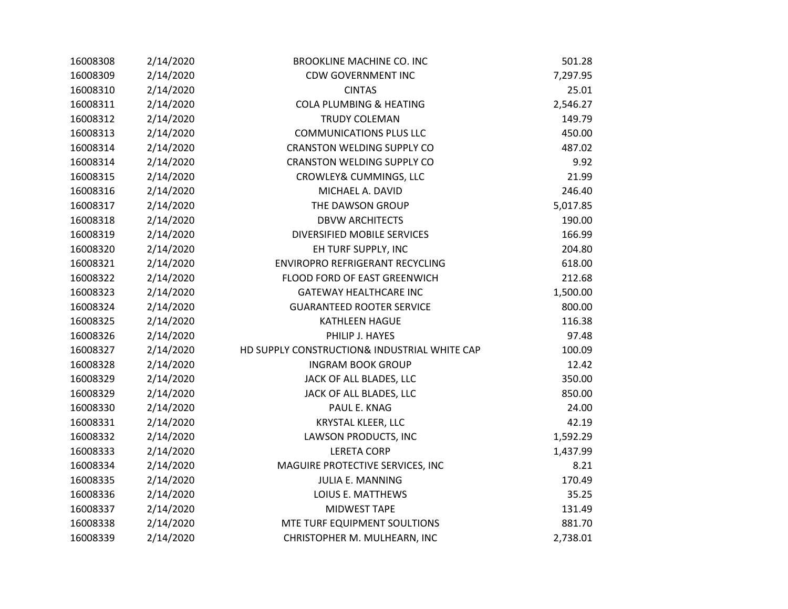| 16008308 | 2/14/2020 | <b>BROOKLINE MACHINE CO. INC</b>             | 501.28   |
|----------|-----------|----------------------------------------------|----------|
| 16008309 | 2/14/2020 | <b>CDW GOVERNMENT INC</b>                    | 7,297.95 |
| 16008310 | 2/14/2020 | <b>CINTAS</b>                                | 25.01    |
| 16008311 | 2/14/2020 | <b>COLA PLUMBING &amp; HEATING</b>           | 2,546.27 |
| 16008312 | 2/14/2020 | <b>TRUDY COLEMAN</b>                         | 149.79   |
| 16008313 | 2/14/2020 | <b>COMMUNICATIONS PLUS LLC</b>               | 450.00   |
| 16008314 | 2/14/2020 | <b>CRANSTON WELDING SUPPLY CO</b>            | 487.02   |
| 16008314 | 2/14/2020 | <b>CRANSTON WELDING SUPPLY CO</b>            | 9.92     |
| 16008315 | 2/14/2020 | CROWLEY& CUMMINGS, LLC                       | 21.99    |
| 16008316 | 2/14/2020 | MICHAEL A. DAVID                             | 246.40   |
| 16008317 | 2/14/2020 | THE DAWSON GROUP                             | 5,017.85 |
| 16008318 | 2/14/2020 | <b>DBVW ARCHITECTS</b>                       | 190.00   |
| 16008319 | 2/14/2020 | DIVERSIFIED MOBILE SERVICES                  | 166.99   |
| 16008320 | 2/14/2020 | EH TURF SUPPLY, INC                          | 204.80   |
| 16008321 | 2/14/2020 | ENVIROPRO REFRIGERANT RECYCLING              | 618.00   |
| 16008322 | 2/14/2020 | FLOOD FORD OF EAST GREENWICH                 | 212.68   |
| 16008323 | 2/14/2020 | <b>GATEWAY HEALTHCARE INC</b>                | 1,500.00 |
| 16008324 | 2/14/2020 | <b>GUARANTEED ROOTER SERVICE</b>             | 800.00   |
| 16008325 | 2/14/2020 | <b>KATHLEEN HAGUE</b>                        | 116.38   |
| 16008326 | 2/14/2020 | PHILIP J. HAYES                              | 97.48    |
| 16008327 | 2/14/2020 | HD SUPPLY CONSTRUCTION& INDUSTRIAL WHITE CAP | 100.09   |
| 16008328 | 2/14/2020 | <b>INGRAM BOOK GROUP</b>                     | 12.42    |
| 16008329 | 2/14/2020 | JACK OF ALL BLADES, LLC                      | 350.00   |
| 16008329 | 2/14/2020 | JACK OF ALL BLADES, LLC                      | 850.00   |
| 16008330 | 2/14/2020 | PAUL E. KNAG                                 | 24.00    |
| 16008331 | 2/14/2020 | KRYSTAL KLEER, LLC                           | 42.19    |
| 16008332 | 2/14/2020 | LAWSON PRODUCTS, INC                         | 1,592.29 |
| 16008333 | 2/14/2020 | <b>LERETA CORP</b>                           | 1,437.99 |
| 16008334 | 2/14/2020 | MAGUIRE PROTECTIVE SERVICES, INC             | 8.21     |
| 16008335 | 2/14/2020 | <b>JULIA E. MANNING</b>                      | 170.49   |
| 16008336 | 2/14/2020 | LOIUS E. MATTHEWS                            | 35.25    |
| 16008337 | 2/14/2020 | <b>MIDWEST TAPE</b>                          | 131.49   |
| 16008338 | 2/14/2020 | MTE TURF EQUIPMENT SOULTIONS                 | 881.70   |
| 16008339 | 2/14/2020 | CHRISTOPHER M. MULHEARN, INC                 | 2,738.01 |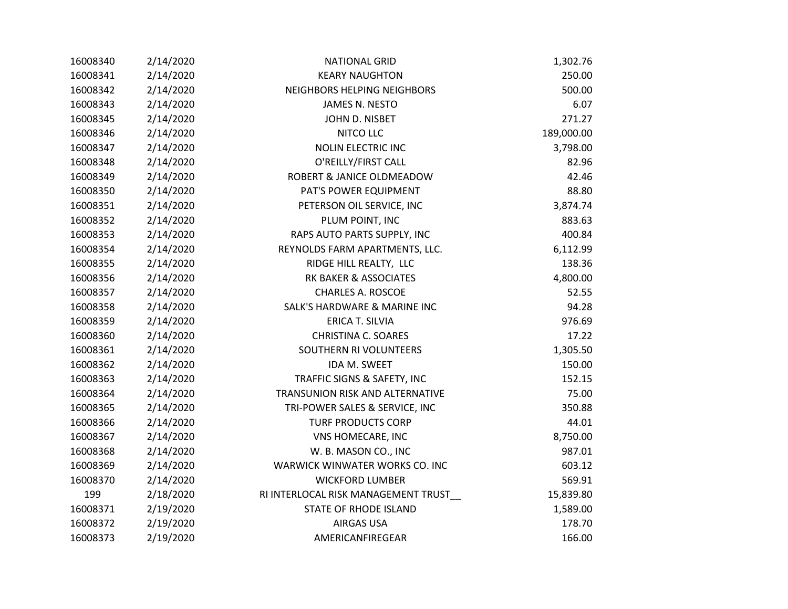| 16008340 | 2/14/2020 | <b>NATIONAL GRID</b>                | 1,302.76   |
|----------|-----------|-------------------------------------|------------|
| 16008341 | 2/14/2020 | <b>KEARY NAUGHTON</b>               | 250.00     |
| 16008342 | 2/14/2020 | NEIGHBORS HELPING NEIGHBORS         | 500.00     |
| 16008343 | 2/14/2020 | JAMES N. NESTO                      | 6.07       |
| 16008345 | 2/14/2020 | JOHN D. NISBET                      | 271.27     |
| 16008346 | 2/14/2020 | <b>NITCO LLC</b>                    | 189,000.00 |
| 16008347 | 2/14/2020 | <b>NOLIN ELECTRIC INC</b>           | 3,798.00   |
| 16008348 | 2/14/2020 | O'REILLY/FIRST CALL                 | 82.96      |
| 16008349 | 2/14/2020 | ROBERT & JANICE OLDMEADOW           | 42.46      |
| 16008350 | 2/14/2020 | PAT'S POWER EQUIPMENT               | 88.80      |
| 16008351 | 2/14/2020 | PETERSON OIL SERVICE, INC           | 3,874.74   |
| 16008352 | 2/14/2020 | PLUM POINT, INC                     | 883.63     |
| 16008353 | 2/14/2020 | RAPS AUTO PARTS SUPPLY, INC         | 400.84     |
| 16008354 | 2/14/2020 | REYNOLDS FARM APARTMENTS, LLC.      | 6,112.99   |
| 16008355 | 2/14/2020 | RIDGE HILL REALTY, LLC              | 138.36     |
| 16008356 | 2/14/2020 | RK BAKER & ASSOCIATES               | 4,800.00   |
| 16008357 | 2/14/2020 | <b>CHARLES A. ROSCOE</b>            | 52.55      |
| 16008358 | 2/14/2020 | SALK'S HARDWARE & MARINE INC        | 94.28      |
| 16008359 | 2/14/2020 | <b>ERICA T. SILVIA</b>              | 976.69     |
| 16008360 | 2/14/2020 | <b>CHRISTINA C. SOARES</b>          | 17.22      |
| 16008361 | 2/14/2020 | SOUTHERN RI VOLUNTEERS              | 1,305.50   |
| 16008362 | 2/14/2020 | IDA M. SWEET                        | 150.00     |
| 16008363 | 2/14/2020 | TRAFFIC SIGNS & SAFETY, INC         | 152.15     |
| 16008364 | 2/14/2020 | TRANSUNION RISK AND ALTERNATIVE     | 75.00      |
| 16008365 | 2/14/2020 | TRI-POWER SALES & SERVICE, INC      | 350.88     |
| 16008366 | 2/14/2020 | <b>TURF PRODUCTS CORP</b>           | 44.01      |
| 16008367 | 2/14/2020 | VNS HOMECARE, INC                   | 8,750.00   |
| 16008368 | 2/14/2020 | W. B. MASON CO., INC                | 987.01     |
| 16008369 | 2/14/2020 | WARWICK WINWATER WORKS CO. INC      | 603.12     |
| 16008370 | 2/14/2020 | <b>WICKFORD LUMBER</b>              | 569.91     |
| 199      | 2/18/2020 | RI INTERLOCAL RISK MANAGEMENT TRUST | 15,839.80  |
| 16008371 | 2/19/2020 | <b>STATE OF RHODE ISLAND</b>        | 1,589.00   |
| 16008372 | 2/19/2020 | <b>AIRGAS USA</b>                   | 178.70     |
| 16008373 | 2/19/2020 | AMERICANFIREGEAR                    | 166.00     |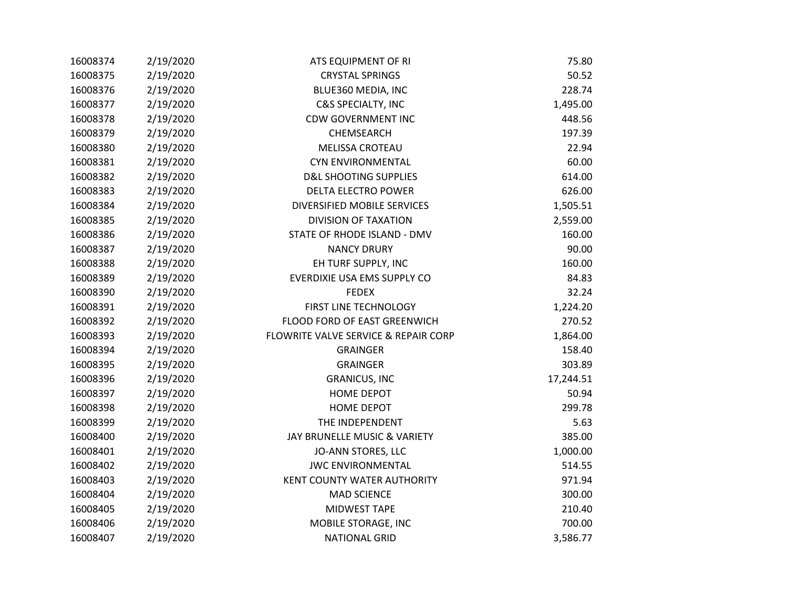| 16008374 | 2/19/2020 | ATS EQUIPMENT OF RI                  | 75.80     |
|----------|-----------|--------------------------------------|-----------|
| 16008375 | 2/19/2020 | <b>CRYSTAL SPRINGS</b>               | 50.52     |
| 16008376 | 2/19/2020 | BLUE360 MEDIA, INC                   | 228.74    |
| 16008377 | 2/19/2020 | <b>C&amp;S SPECIALTY, INC</b>        | 1,495.00  |
| 16008378 | 2/19/2020 | <b>CDW GOVERNMENT INC</b>            | 448.56    |
| 16008379 | 2/19/2020 | CHEMSEARCH                           | 197.39    |
| 16008380 | 2/19/2020 | <b>MELISSA CROTEAU</b>               | 22.94     |
| 16008381 | 2/19/2020 | <b>CYN ENVIRONMENTAL</b>             | 60.00     |
| 16008382 | 2/19/2020 | <b>D&amp;L SHOOTING SUPPLIES</b>     | 614.00    |
| 16008383 | 2/19/2020 | <b>DELTA ELECTRO POWER</b>           | 626.00    |
| 16008384 | 2/19/2020 | DIVERSIFIED MOBILE SERVICES          | 1,505.51  |
| 16008385 | 2/19/2020 | <b>DIVISION OF TAXATION</b>          | 2,559.00  |
| 16008386 | 2/19/2020 | STATE OF RHODE ISLAND - DMV          | 160.00    |
| 16008387 | 2/19/2020 | <b>NANCY DRURY</b>                   | 90.00     |
| 16008388 | 2/19/2020 | EH TURF SUPPLY, INC                  | 160.00    |
| 16008389 | 2/19/2020 | EVERDIXIE USA EMS SUPPLY CO          | 84.83     |
| 16008390 | 2/19/2020 | <b>FEDEX</b>                         | 32.24     |
| 16008391 | 2/19/2020 | FIRST LINE TECHNOLOGY                | 1,224.20  |
| 16008392 | 2/19/2020 | FLOOD FORD OF EAST GREENWICH         | 270.52    |
| 16008393 | 2/19/2020 | FLOWRITE VALVE SERVICE & REPAIR CORP | 1,864.00  |
| 16008394 | 2/19/2020 | <b>GRAINGER</b>                      | 158.40    |
| 16008395 | 2/19/2020 | <b>GRAINGER</b>                      | 303.89    |
| 16008396 | 2/19/2020 | <b>GRANICUS, INC</b>                 | 17,244.51 |
| 16008397 | 2/19/2020 | <b>HOME DEPOT</b>                    | 50.94     |
| 16008398 | 2/19/2020 | <b>HOME DEPOT</b>                    | 299.78    |
| 16008399 | 2/19/2020 | THE INDEPENDENT                      | 5.63      |
| 16008400 | 2/19/2020 | JAY BRUNELLE MUSIC & VARIETY         | 385.00    |
| 16008401 | 2/19/2020 | JO-ANN STORES, LLC                   | 1,000.00  |
| 16008402 | 2/19/2020 | <b>JWC ENVIRONMENTAL</b>             | 514.55    |
| 16008403 | 2/19/2020 | KENT COUNTY WATER AUTHORITY          | 971.94    |
| 16008404 | 2/19/2020 | <b>MAD SCIENCE</b>                   | 300.00    |
| 16008405 | 2/19/2020 | MIDWEST TAPE                         | 210.40    |
| 16008406 | 2/19/2020 | MOBILE STORAGE, INC                  | 700.00    |
| 16008407 | 2/19/2020 | <b>NATIONAL GRID</b>                 | 3,586.77  |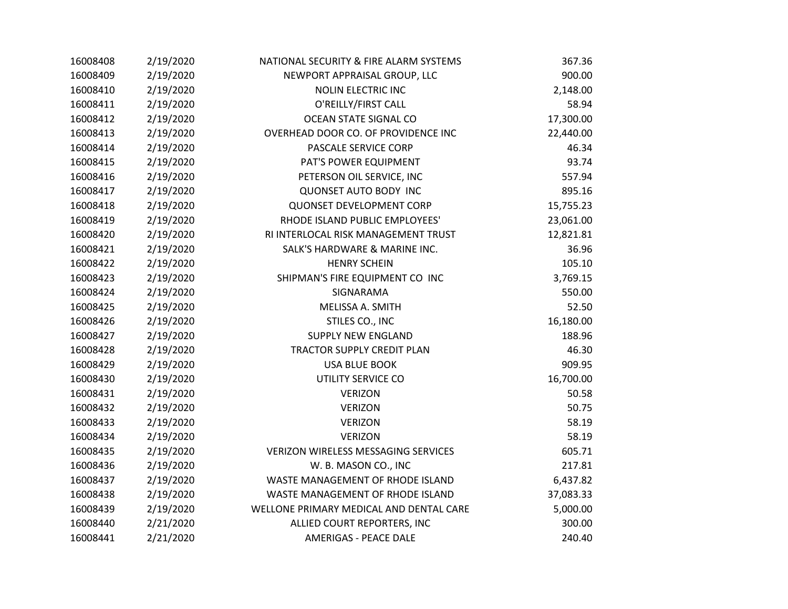| 16008408 | 2/19/2020 | NATIONAL SECURITY & FIRE ALARM SYSTEMS     | 367.36    |
|----------|-----------|--------------------------------------------|-----------|
| 16008409 | 2/19/2020 | NEWPORT APPRAISAL GROUP, LLC               | 900.00    |
| 16008410 | 2/19/2020 | <b>NOLIN ELECTRIC INC</b>                  | 2,148.00  |
| 16008411 | 2/19/2020 | O'REILLY/FIRST CALL                        | 58.94     |
| 16008412 | 2/19/2020 | OCEAN STATE SIGNAL CO                      | 17,300.00 |
| 16008413 | 2/19/2020 | OVERHEAD DOOR CO. OF PROVIDENCE INC        | 22,440.00 |
| 16008414 | 2/19/2020 | PASCALE SERVICE CORP                       | 46.34     |
| 16008415 | 2/19/2020 | PAT'S POWER EQUIPMENT                      | 93.74     |
| 16008416 | 2/19/2020 | PETERSON OIL SERVICE, INC                  | 557.94    |
| 16008417 | 2/19/2020 | <b>QUONSET AUTO BODY INC</b>               | 895.16    |
| 16008418 | 2/19/2020 | <b>QUONSET DEVELOPMENT CORP</b>            | 15,755.23 |
| 16008419 | 2/19/2020 | RHODE ISLAND PUBLIC EMPLOYEES'             | 23,061.00 |
| 16008420 | 2/19/2020 | RI INTERLOCAL RISK MANAGEMENT TRUST        | 12,821.81 |
| 16008421 | 2/19/2020 | SALK'S HARDWARE & MARINE INC.              | 36.96     |
| 16008422 | 2/19/2020 | <b>HENRY SCHEIN</b>                        | 105.10    |
| 16008423 | 2/19/2020 | SHIPMAN'S FIRE EQUIPMENT CO INC            | 3,769.15  |
| 16008424 | 2/19/2020 | SIGNARAMA                                  | 550.00    |
| 16008425 | 2/19/2020 | MELISSA A. SMITH                           | 52.50     |
| 16008426 | 2/19/2020 | STILES CO., INC                            | 16,180.00 |
| 16008427 | 2/19/2020 | <b>SUPPLY NEW ENGLAND</b>                  | 188.96    |
| 16008428 | 2/19/2020 | TRACTOR SUPPLY CREDIT PLAN                 | 46.30     |
| 16008429 | 2/19/2020 | <b>USA BLUE BOOK</b>                       | 909.95    |
| 16008430 | 2/19/2020 | UTILITY SERVICE CO                         | 16,700.00 |
| 16008431 | 2/19/2020 | <b>VERIZON</b>                             | 50.58     |
| 16008432 | 2/19/2020 | <b>VERIZON</b>                             | 50.75     |
| 16008433 | 2/19/2020 | <b>VERIZON</b>                             | 58.19     |
| 16008434 | 2/19/2020 | <b>VERIZON</b>                             | 58.19     |
| 16008435 | 2/19/2020 | <b>VERIZON WIRELESS MESSAGING SERVICES</b> | 605.71    |
| 16008436 | 2/19/2020 | W. B. MASON CO., INC                       | 217.81    |
| 16008437 | 2/19/2020 | WASTE MANAGEMENT OF RHODE ISLAND           | 6,437.82  |
| 16008438 | 2/19/2020 | WASTE MANAGEMENT OF RHODE ISLAND           | 37,083.33 |
| 16008439 | 2/19/2020 | WELLONE PRIMARY MEDICAL AND DENTAL CARE    | 5,000.00  |
| 16008440 | 2/21/2020 | ALLIED COURT REPORTERS, INC                | 300.00    |
| 16008441 | 2/21/2020 | <b>AMERIGAS - PEACE DALE</b>               | 240.40    |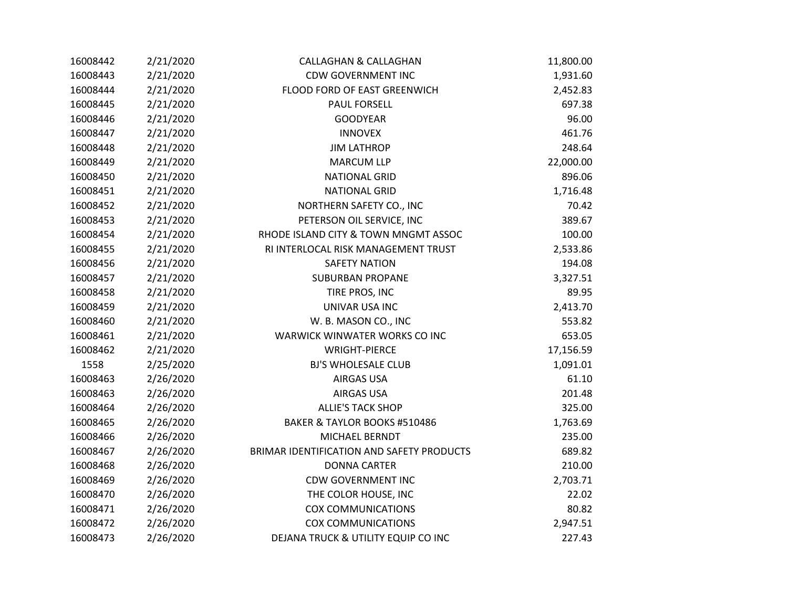| 16008442 | 2/21/2020 | <b>CALLAGHAN &amp; CALLAGHAN</b>          | 11,800.00 |
|----------|-----------|-------------------------------------------|-----------|
| 16008443 | 2/21/2020 | <b>CDW GOVERNMENT INC</b>                 | 1,931.60  |
| 16008444 | 2/21/2020 | FLOOD FORD OF EAST GREENWICH              | 2,452.83  |
| 16008445 | 2/21/2020 | <b>PAUL FORSELL</b>                       | 697.38    |
| 16008446 | 2/21/2020 | <b>GOODYEAR</b>                           | 96.00     |
| 16008447 | 2/21/2020 | <b>INNOVEX</b>                            | 461.76    |
| 16008448 | 2/21/2020 | <b>JIM LATHROP</b>                        | 248.64    |
| 16008449 | 2/21/2020 | <b>MARCUM LLP</b>                         | 22,000.00 |
| 16008450 | 2/21/2020 | <b>NATIONAL GRID</b>                      | 896.06    |
| 16008451 | 2/21/2020 | <b>NATIONAL GRID</b>                      | 1,716.48  |
| 16008452 | 2/21/2020 | NORTHERN SAFETY CO., INC                  | 70.42     |
| 16008453 | 2/21/2020 | PETERSON OIL SERVICE, INC                 | 389.67    |
| 16008454 | 2/21/2020 | RHODE ISLAND CITY & TOWN MNGMT ASSOC      | 100.00    |
| 16008455 | 2/21/2020 | RI INTERLOCAL RISK MANAGEMENT TRUST       | 2,533.86  |
| 16008456 | 2/21/2020 | <b>SAFETY NATION</b>                      | 194.08    |
| 16008457 | 2/21/2020 | <b>SUBURBAN PROPANE</b>                   | 3,327.51  |
| 16008458 | 2/21/2020 | TIRE PROS, INC                            | 89.95     |
| 16008459 | 2/21/2020 | UNIVAR USA INC                            | 2,413.70  |
| 16008460 | 2/21/2020 | W. B. MASON CO., INC                      | 553.82    |
| 16008461 | 2/21/2020 | WARWICK WINWATER WORKS CO INC             | 653.05    |
| 16008462 | 2/21/2020 | <b>WRIGHT-PIERCE</b>                      | 17,156.59 |
| 1558     | 2/25/2020 | <b>BJ'S WHOLESALE CLUB</b>                | 1,091.01  |
| 16008463 | 2/26/2020 | <b>AIRGAS USA</b>                         | 61.10     |
| 16008463 | 2/26/2020 | <b>AIRGAS USA</b>                         | 201.48    |
| 16008464 | 2/26/2020 | <b>ALLIE'S TACK SHOP</b>                  | 325.00    |
| 16008465 | 2/26/2020 | BAKER & TAYLOR BOOKS #510486              | 1,763.69  |
| 16008466 | 2/26/2020 | MICHAEL BERNDT                            | 235.00    |
| 16008467 | 2/26/2020 | BRIMAR IDENTIFICATION AND SAFETY PRODUCTS | 689.82    |
| 16008468 | 2/26/2020 | <b>DONNA CARTER</b>                       | 210.00    |
| 16008469 | 2/26/2020 | <b>CDW GOVERNMENT INC</b>                 | 2,703.71  |
| 16008470 | 2/26/2020 | THE COLOR HOUSE, INC                      | 22.02     |
| 16008471 | 2/26/2020 | <b>COX COMMUNICATIONS</b>                 | 80.82     |
| 16008472 | 2/26/2020 | <b>COX COMMUNICATIONS</b>                 | 2,947.51  |
| 16008473 | 2/26/2020 | DEJANA TRUCK & UTILITY EQUIP CO INC       | 227.43    |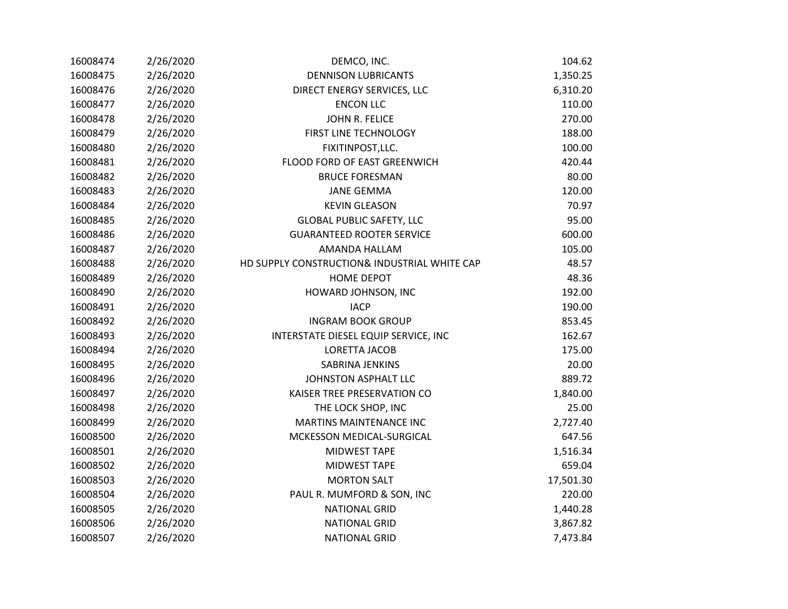| 16008474 | 2/26/2020 | DEMCO, INC.                                  | 104.62    |
|----------|-----------|----------------------------------------------|-----------|
| 16008475 | 2/26/2020 | <b>DENNISON LUBRICANTS</b>                   | 1,350.25  |
| 16008476 | 2/26/2020 | DIRECT ENERGY SERVICES, LLC                  | 6,310.20  |
| 16008477 | 2/26/2020 | <b>ENCON LLC</b>                             | 110.00    |
| 16008478 | 2/26/2020 | JOHN R. FELICE                               | 270.00    |
| 16008479 | 2/26/2020 | FIRST LINE TECHNOLOGY                        | 188.00    |
| 16008480 | 2/26/2020 | FIXITINPOST, LLC.                            | 100.00    |
| 16008481 | 2/26/2020 | FLOOD FORD OF EAST GREENWICH                 | 420.44    |
| 16008482 | 2/26/2020 | <b>BRUCE FORESMAN</b>                        | 80.00     |
| 16008483 | 2/26/2020 | <b>JANE GEMMA</b>                            | 120.00    |
| 16008484 | 2/26/2020 | <b>KEVIN GLEASON</b>                         | 70.97     |
| 16008485 | 2/26/2020 | <b>GLOBAL PUBLIC SAFETY, LLC</b>             | 95.00     |
| 16008486 | 2/26/2020 | <b>GUARANTEED ROOTER SERVICE</b>             | 600.00    |
| 16008487 | 2/26/2020 | AMANDA HALLAM                                | 105.00    |
| 16008488 | 2/26/2020 | HD SUPPLY CONSTRUCTION& INDUSTRIAL WHITE CAP | 48.57     |
| 16008489 | 2/26/2020 | HOME DEPOT                                   | 48.36     |
| 16008490 | 2/26/2020 | HOWARD JOHNSON, INC                          | 192.00    |
| 16008491 | 2/26/2020 | <b>IACP</b>                                  | 190.00    |
| 16008492 | 2/26/2020 | <b>INGRAM BOOK GROUP</b>                     | 853.45    |
| 16008493 | 2/26/2020 | INTERSTATE DIESEL EQUIP SERVICE, INC         | 162.67    |
| 16008494 | 2/26/2020 | <b>LORETTA JACOB</b>                         | 175.00    |
| 16008495 | 2/26/2020 | <b>SABRINA JENKINS</b>                       | 20.00     |
| 16008496 | 2/26/2020 | JOHNSTON ASPHALT LLC                         | 889.72    |
| 16008497 | 2/26/2020 | KAISER TREE PRESERVATION CO                  | 1,840.00  |
| 16008498 | 2/26/2020 | THE LOCK SHOP, INC                           | 25.00     |
| 16008499 | 2/26/2020 | <b>MARTINS MAINTENANCE INC</b>               | 2,727.40  |
| 16008500 | 2/26/2020 | MCKESSON MEDICAL-SURGICAL                    | 647.56    |
| 16008501 | 2/26/2020 | MIDWEST TAPE                                 | 1,516.34  |
| 16008502 | 2/26/2020 | MIDWEST TAPE                                 | 659.04    |
| 16008503 | 2/26/2020 | <b>MORTON SALT</b>                           | 17,501.30 |
| 16008504 | 2/26/2020 | PAUL R. MUMFORD & SON, INC                   | 220.00    |
| 16008505 | 2/26/2020 | <b>NATIONAL GRID</b>                         | 1,440.28  |
| 16008506 | 2/26/2020 | <b>NATIONAL GRID</b>                         | 3,867.82  |
| 16008507 | 2/26/2020 | <b>NATIONAL GRID</b>                         | 7,473.84  |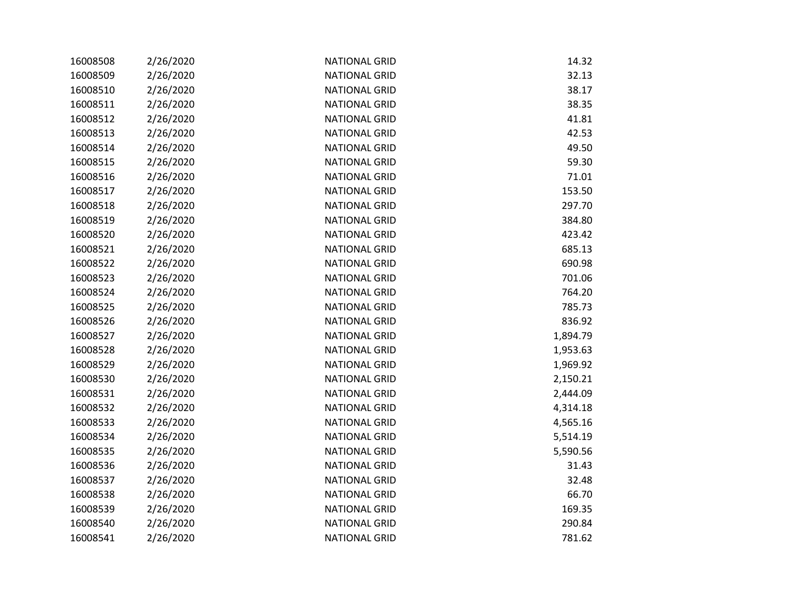| 16008508 | 2/26/2020 | <b>NATIONAL GRID</b> | 14.32    |
|----------|-----------|----------------------|----------|
| 16008509 | 2/26/2020 | <b>NATIONAL GRID</b> | 32.13    |
| 16008510 | 2/26/2020 | <b>NATIONAL GRID</b> | 38.17    |
| 16008511 | 2/26/2020 | <b>NATIONAL GRID</b> | 38.35    |
| 16008512 | 2/26/2020 | <b>NATIONAL GRID</b> | 41.81    |
| 16008513 | 2/26/2020 | <b>NATIONAL GRID</b> | 42.53    |
| 16008514 | 2/26/2020 | <b>NATIONAL GRID</b> | 49.50    |
| 16008515 | 2/26/2020 | <b>NATIONAL GRID</b> | 59.30    |
| 16008516 | 2/26/2020 | <b>NATIONAL GRID</b> | 71.01    |
| 16008517 | 2/26/2020 | <b>NATIONAL GRID</b> | 153.50   |
| 16008518 | 2/26/2020 | <b>NATIONAL GRID</b> | 297.70   |
| 16008519 | 2/26/2020 | <b>NATIONAL GRID</b> | 384.80   |
| 16008520 | 2/26/2020 | <b>NATIONAL GRID</b> | 423.42   |
| 16008521 | 2/26/2020 | <b>NATIONAL GRID</b> | 685.13   |
| 16008522 | 2/26/2020 | <b>NATIONAL GRID</b> | 690.98   |
| 16008523 | 2/26/2020 | <b>NATIONAL GRID</b> | 701.06   |
| 16008524 | 2/26/2020 | <b>NATIONAL GRID</b> | 764.20   |
| 16008525 | 2/26/2020 | <b>NATIONAL GRID</b> | 785.73   |
| 16008526 | 2/26/2020 | <b>NATIONAL GRID</b> | 836.92   |
| 16008527 | 2/26/2020 | <b>NATIONAL GRID</b> | 1,894.79 |
| 16008528 | 2/26/2020 | <b>NATIONAL GRID</b> | 1,953.63 |
| 16008529 | 2/26/2020 | <b>NATIONAL GRID</b> | 1,969.92 |
| 16008530 | 2/26/2020 | <b>NATIONAL GRID</b> | 2,150.21 |
| 16008531 | 2/26/2020 | <b>NATIONAL GRID</b> | 2,444.09 |
| 16008532 | 2/26/2020 | <b>NATIONAL GRID</b> | 4,314.18 |
| 16008533 | 2/26/2020 | <b>NATIONAL GRID</b> | 4,565.16 |
| 16008534 | 2/26/2020 | <b>NATIONAL GRID</b> | 5,514.19 |
| 16008535 | 2/26/2020 | <b>NATIONAL GRID</b> | 5,590.56 |
| 16008536 | 2/26/2020 | <b>NATIONAL GRID</b> | 31.43    |
| 16008537 | 2/26/2020 | <b>NATIONAL GRID</b> | 32.48    |
| 16008538 | 2/26/2020 | <b>NATIONAL GRID</b> | 66.70    |
| 16008539 | 2/26/2020 | <b>NATIONAL GRID</b> | 169.35   |
| 16008540 | 2/26/2020 | <b>NATIONAL GRID</b> | 290.84   |
| 16008541 | 2/26/2020 | <b>NATIONAL GRID</b> | 781.62   |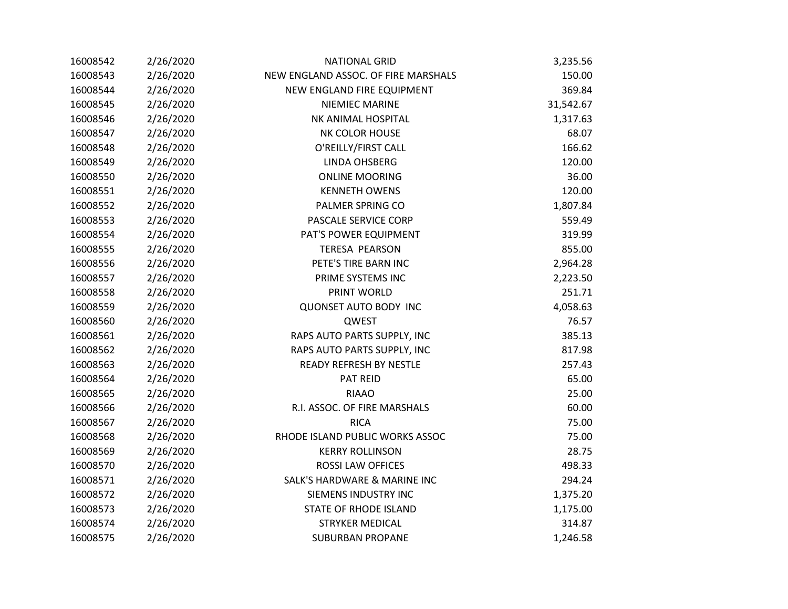| 16008542 | 2/26/2020 | <b>NATIONAL GRID</b>                | 3,235.56  |
|----------|-----------|-------------------------------------|-----------|
| 16008543 | 2/26/2020 | NEW ENGLAND ASSOC. OF FIRE MARSHALS | 150.00    |
| 16008544 | 2/26/2020 | NEW ENGLAND FIRE EQUIPMENT          | 369.84    |
| 16008545 | 2/26/2020 | <b>NIEMIEC MARINE</b>               | 31,542.67 |
| 16008546 | 2/26/2020 | NK ANIMAL HOSPITAL                  | 1,317.63  |
| 16008547 | 2/26/2020 | <b>NK COLOR HOUSE</b>               | 68.07     |
| 16008548 | 2/26/2020 | O'REILLY/FIRST CALL                 | 166.62    |
| 16008549 | 2/26/2020 | LINDA OHSBERG                       | 120.00    |
| 16008550 | 2/26/2020 | <b>ONLINE MOORING</b>               | 36.00     |
| 16008551 | 2/26/2020 | <b>KENNETH OWENS</b>                | 120.00    |
| 16008552 | 2/26/2020 | PALMER SPRING CO                    | 1,807.84  |
| 16008553 | 2/26/2020 | PASCALE SERVICE CORP                | 559.49    |
| 16008554 | 2/26/2020 | PAT'S POWER EQUIPMENT               | 319.99    |
| 16008555 | 2/26/2020 | <b>TERESA PEARSON</b>               | 855.00    |
| 16008556 | 2/26/2020 | PETE'S TIRE BARN INC                | 2,964.28  |
| 16008557 | 2/26/2020 | PRIME SYSTEMS INC                   | 2,223.50  |
| 16008558 | 2/26/2020 | PRINT WORLD                         | 251.71    |
| 16008559 | 2/26/2020 | <b>QUONSET AUTO BODY INC</b>        | 4,058.63  |
| 16008560 | 2/26/2020 | QWEST                               | 76.57     |
| 16008561 | 2/26/2020 | RAPS AUTO PARTS SUPPLY, INC         | 385.13    |
| 16008562 | 2/26/2020 | RAPS AUTO PARTS SUPPLY, INC         | 817.98    |
| 16008563 | 2/26/2020 | <b>READY REFRESH BY NESTLE</b>      | 257.43    |
| 16008564 | 2/26/2020 | PAT REID                            | 65.00     |
| 16008565 | 2/26/2020 | <b>RIAAO</b>                        | 25.00     |
| 16008566 | 2/26/2020 | R.I. ASSOC. OF FIRE MARSHALS        | 60.00     |
| 16008567 | 2/26/2020 | <b>RICA</b>                         | 75.00     |
| 16008568 | 2/26/2020 | RHODE ISLAND PUBLIC WORKS ASSOC     | 75.00     |
| 16008569 | 2/26/2020 | <b>KERRY ROLLINSON</b>              | 28.75     |
| 16008570 | 2/26/2020 | <b>ROSSI LAW OFFICES</b>            | 498.33    |
| 16008571 | 2/26/2020 | SALK'S HARDWARE & MARINE INC        | 294.24    |
| 16008572 | 2/26/2020 | <b>SIEMENS INDUSTRY INC</b>         | 1,375.20  |
| 16008573 | 2/26/2020 | STATE OF RHODE ISLAND               | 1,175.00  |
| 16008574 | 2/26/2020 | <b>STRYKER MEDICAL</b>              | 314.87    |
| 16008575 | 2/26/2020 | <b>SUBURBAN PROPANE</b>             | 1,246.58  |